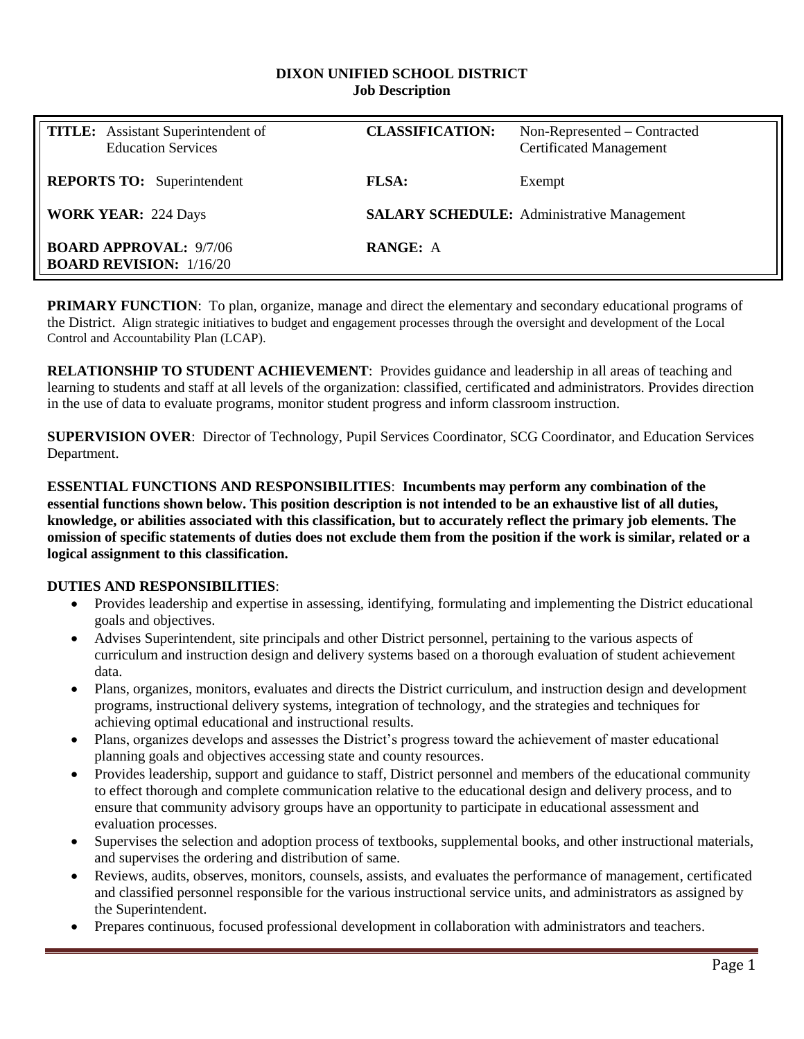#### **DIXON UNIFIED SCHOOL DISTRICT Job Description**

| <b>TITLE:</b> Assistant Superintendent of<br><b>Education Services</b> | <b>CLASSIFICATION:</b>                            | Non-Represented – Contracted<br><b>Certificated Management</b> |  |
|------------------------------------------------------------------------|---------------------------------------------------|----------------------------------------------------------------|--|
| <b>REPORTS TO:</b> Superintendent                                      | <b>FLSA:</b>                                      | Exempt                                                         |  |
| <b>WORK YEAR: 224 Days</b>                                             | <b>SALARY SCHEDULE:</b> Administrative Management |                                                                |  |
| <b>BOARD APPROVAL: 9/7/06</b><br><b>BOARD REVISION: 1/16/20</b>        | <b>RANGE: A</b>                                   |                                                                |  |

**PRIMARY FUNCTION:** To plan, organize, manage and direct the elementary and secondary educational programs of the District. Align strategic initiatives to budget and engagement processes through the oversight and development of the Local Control and Accountability Plan (LCAP).

**RELATIONSHIP TO STUDENT ACHIEVEMENT**: Provides guidance and leadership in all areas of teaching and learning to students and staff at all levels of the organization: classified, certificated and administrators. Provides direction in the use of data to evaluate programs, monitor student progress and inform classroom instruction.

**SUPERVISION OVER**: Director of Technology, Pupil Services Coordinator, SCG Coordinator, and Education Services Department.

**ESSENTIAL FUNCTIONS AND RESPONSIBILITIES**: **Incumbents may perform any combination of the essential functions shown below. This position description is not intended to be an exhaustive list of all duties, knowledge, or abilities associated with this classification, but to accurately reflect the primary job elements. The omission of specific statements of duties does not exclude them from the position if the work is similar, related or a logical assignment to this classification.**

### **DUTIES AND RESPONSIBILITIES**:

- Provides leadership and expertise in assessing, identifying, formulating and implementing the District educational goals and objectives.
- Advises Superintendent, site principals and other District personnel, pertaining to the various aspects of curriculum and instruction design and delivery systems based on a thorough evaluation of student achievement data.
- Plans, organizes, monitors, evaluates and directs the District curriculum, and instruction design and development programs, instructional delivery systems, integration of technology, and the strategies and techniques for achieving optimal educational and instructional results.
- Plans, organizes develops and assesses the District's progress toward the achievement of master educational planning goals and objectives accessing state and county resources.
- Provides leadership, support and guidance to staff, District personnel and members of the educational community to effect thorough and complete communication relative to the educational design and delivery process, and to ensure that community advisory groups have an opportunity to participate in educational assessment and evaluation processes.
- Supervises the selection and adoption process of textbooks, supplemental books, and other instructional materials, and supervises the ordering and distribution of same.
- Reviews, audits, observes, monitors, counsels, assists, and evaluates the performance of management, certificated and classified personnel responsible for the various instructional service units, and administrators as assigned by the Superintendent.
- Prepares continuous, focused professional development in collaboration with administrators and teachers.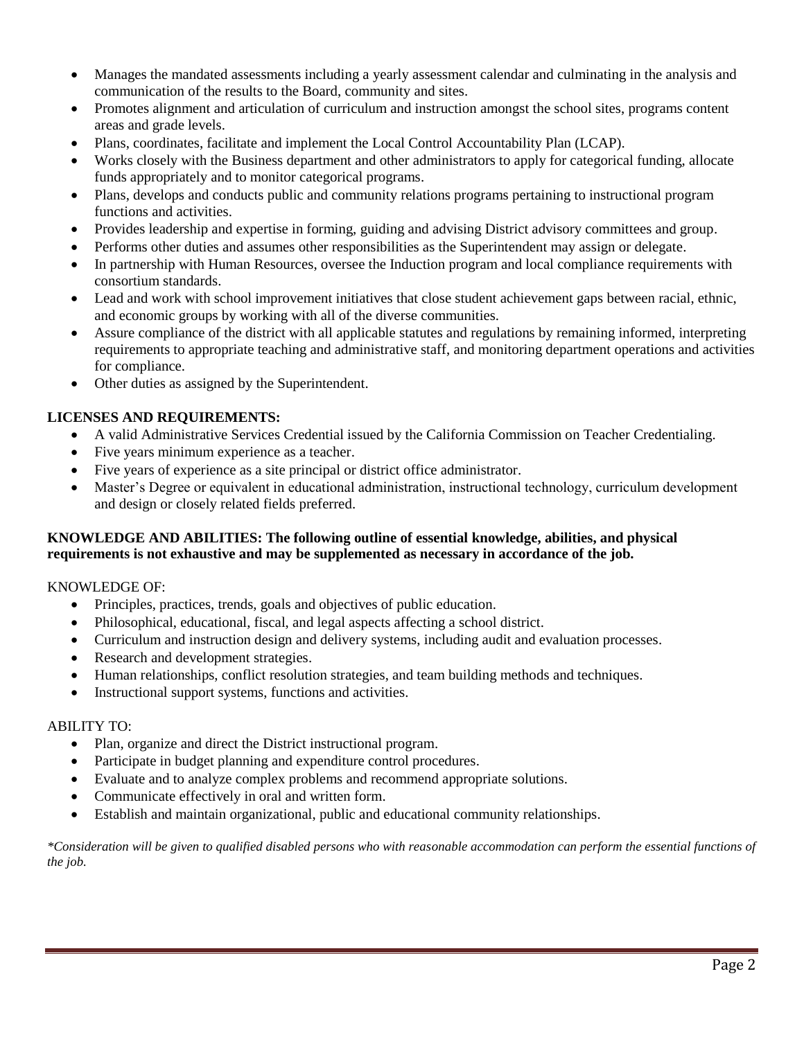- Manages the mandated assessments including a yearly assessment calendar and culminating in the analysis and communication of the results to the Board, community and sites.
- Promotes alignment and articulation of curriculum and instruction amongst the school sites, programs content areas and grade levels.
- Plans, coordinates, facilitate and implement the Local Control Accountability Plan (LCAP).
- Works closely with the Business department and other administrators to apply for categorical funding, allocate funds appropriately and to monitor categorical programs.
- Plans, develops and conducts public and community relations programs pertaining to instructional program functions and activities.
- Provides leadership and expertise in forming, guiding and advising District advisory committees and group.
- Performs other duties and assumes other responsibilities as the Superintendent may assign or delegate.
- In partnership with Human Resources, oversee the Induction program and local compliance requirements with consortium standards.
- Lead and work with school improvement initiatives that close student achievement gaps between racial, ethnic, and economic groups by working with all of the diverse communities.
- Assure compliance of the district with all applicable statutes and regulations by remaining informed, interpreting requirements to appropriate teaching and administrative staff, and monitoring department operations and activities for compliance.
- Other duties as assigned by the Superintendent.

# **LICENSES AND REQUIREMENTS:**

- A valid Administrative Services Credential issued by the California Commission on Teacher Credentialing.
- Five years minimum experience as a teacher.
- Five years of experience as a site principal or district office administrator.
- Master's Degree or equivalent in educational administration, instructional technology, curriculum development and design or closely related fields preferred.

# **KNOWLEDGE AND ABILITIES: The following outline of essential knowledge, abilities, and physical requirements is not exhaustive and may be supplemented as necessary in accordance of the job.**

### KNOWLEDGE OF:

- Principles, practices, trends, goals and objectives of public education.
- Philosophical, educational, fiscal, and legal aspects affecting a school district.
- Curriculum and instruction design and delivery systems, including audit and evaluation processes.
- Research and development strategies.
- Human relationships, conflict resolution strategies, and team building methods and techniques.
- Instructional support systems, functions and activities.

### ABILITY TO:

- Plan, organize and direct the District instructional program.
- Participate in budget planning and expenditure control procedures.
- Evaluate and to analyze complex problems and recommend appropriate solutions.
- Communicate effectively in oral and written form.
- Establish and maintain organizational, public and educational community relationships.

*\*Consideration will be given to qualified disabled persons who with reasonable accommodation can perform the essential functions of the job.*